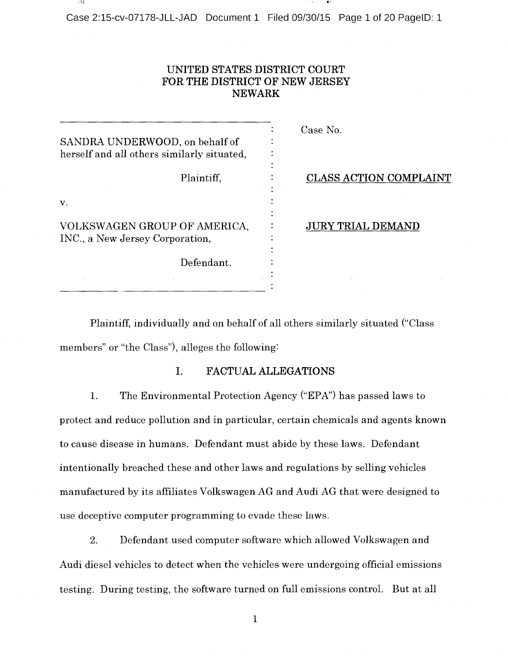Case 2:15-cv-07178-JLL-JAD Document 1 Filed 09/30/15 Page 1 of 20 PagelD: 1

## UNITED STATES DISTRICT COURT FOR THE DISTRICT OF NEW JERSEY NEWARK

|                                            |            |  | Case No.     |
|--------------------------------------------|------------|--|--------------|
| SANDRA UNDERWOOD, on behalf of             |            |  |              |
| herself and all others similarly situated, |            |  |              |
|                                            |            |  |              |
|                                            | Plaintiff, |  | <b>CLASS</b> |
|                                            |            |  |              |
| V.                                         |            |  |              |
|                                            |            |  |              |
| VOLKSWAGEN GROUP OF AMERICA,               |            |  |              |
| INC., a New Jersey Corporation,            |            |  |              |
|                                            |            |  |              |
|                                            | Defendant. |  |              |
|                                            |            |  |              |
|                                            |            |  |              |

# **S ACTION COMPLAINT**

TRIAL DEMAND

Plaintiff, individually and on behalf of all others similarly situated ("Class members" or "the Class"), alleges the following:

### I. FACTUAL ALLEGATIONS

1. The Environmental Protection Agency ("EPA") has passed laws to protect and reduce pollution and in particular, certain chemicals and agents known to cause disease in humans. Defendant must abide by these laws. Defendant intentionally breached these and other laws and regulations by selling vehicles manufactured by its affiliates Volkswagen AG and Audi AG that were designed to use deceptive computer programming to evade these laws.

2. Defendant used computer software which allowed Volkswagen and Audi diesel vehicles to detect when the vehicles were undergoing official emissions testing. During testing, the software turned on full emissions control. But at all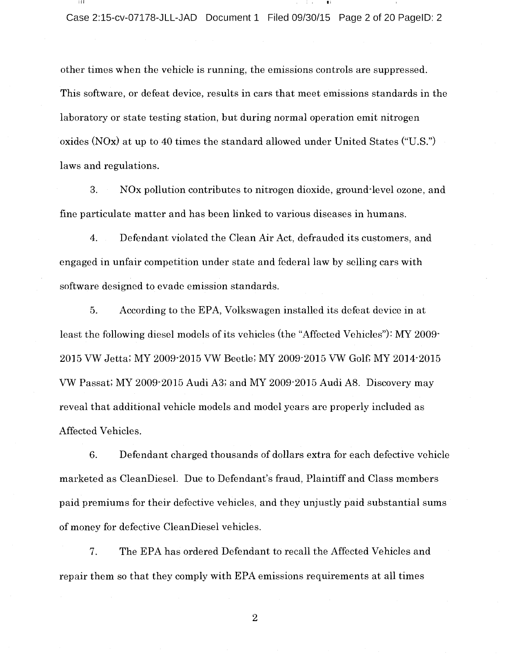other times when the vehicle is running, the emissions controls are suppressed. This software, or defeat device, results in cars that meet emissions standards in the laboratory or state testing station, but during normal operation emit nitrogen oxides (NOx) at up to 40 times the standard allowed under United States ("U.S.") laws and regulations.

3. NOx pollution contributes to nitrogen dioxide, ground-level ozone, and fine particulate matter and has been linked to various diseases in humans.

4. Defendant violated the Clean Air Act, defrauded its customers, and engaged in unfair competition under state and federal law by selling cars with software designed to evade emission standards.

5. According to the EPA, Volkswagen installed its defeat device in at least the following diesel models of its vehicles (the "Affected Vehicles"): MY 2009- 2015 VW Jetta; MY 2009-2015 VW Beetle; MY 2009-2015 VW Golf; MY 2014-2015 VW Passat; MY 2009-2015 Audi A3; and MY 2009-2015 Audi A8. Discovery may reveal that additional vehicle models and model years are properly included as Affected Vehicles.

6. Defendant charged thousands of dollars extra for each defective vehicle marketed as CleanDiesel. Due to Defendant's fraud, Plaintiff and Class members paid premiums for their defective vehicles, and they unjustly paid substantial sums of money for defective CleanDiesel vehicles.

7. The EPA has ordered Defendant to recall the Affected Vehicles and repair them so that they comply with EPA emissions requirements at all times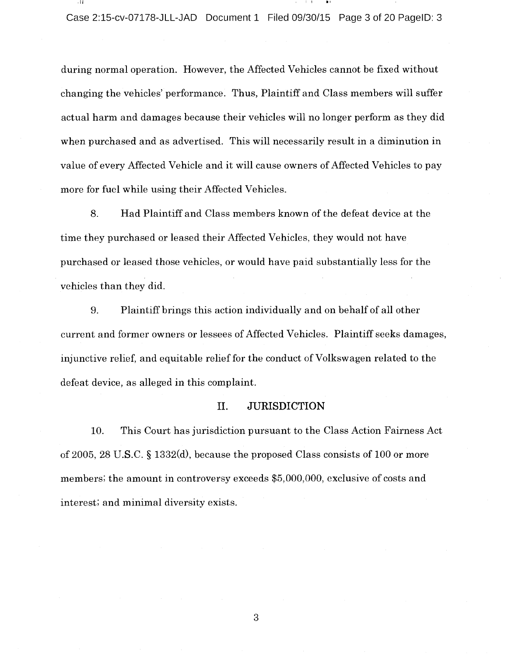during normal operation. However, the Affected Vehicles cannot be fixed without changing the vehicles' performance. Thus, Plaintiff and Class members will suffer actual harm and damages because their vehicles will no longer perform as they did when purchased and as advertised. This will necessarily result in <sup>a</sup> diminution in value of every Affected Vehicle and it will cause owners of Affected Vehicles to pay more for fuel while using their Affected Vehicles.

8. Had Plaintiff and Class members known of the defeat device at the time they purchased or leased their Affected Vehicles, they would not have purchased or leased those vehicles, or would have paid substantially less for the vehicles than they did.

9. Plaintiff brings this action individually and on behalf of all other current and former owners or lessees of Affected Vehicles. Plaintiff seeks damages, injunctive relief, and equitable relief for the conduct of Volkswagen related to the defeat device, as alleged in this complaint.

#### II. JURISDICTION

10. This Court has jurisdiction pursuant to the Class Action Fairness Act of 2005, 28 U.S.C. § 1332(d), because the proposed Class consists of 100 or more members; the amount in controversy exceeds \$5,000,000, exclusive of costs and interest; and minimal diversity exists.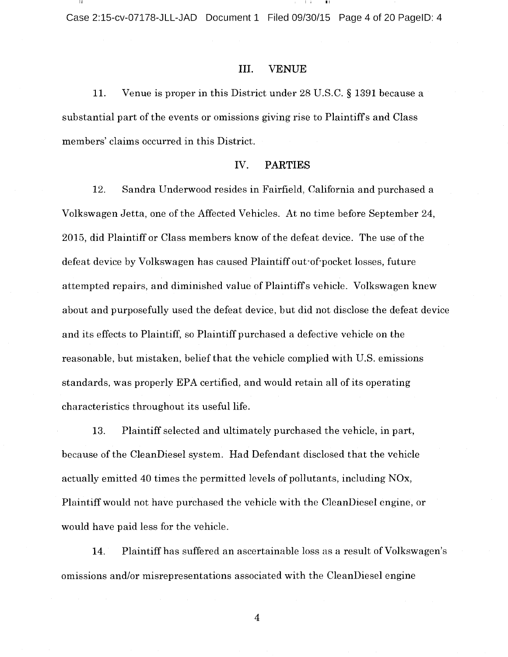Case 2:15-cv-07178-JLL-JAD Document 1 Filed 09/30/15 Page 4 of 20 PagelD: 4

### III. VENUE

11. Venue is proper in this District under 28 U.S.C. § 1391 because a substantial part of the events or omissions giving rise to Plaintiff's and Class members' claims occurred in this District.

#### IV. PARTIES

12. Sandra Underwood resides in Fairfield, California and purchased <sup>a</sup> Volkswagen Jetta, one of the Affected Vehicles. At no time before September 24, 2015, did Plaintiff or Class members know of the defeat device. The use of the defeat device by Volkswagen has caused Plaintiff out-of-pocket losses, future attempted repairs, and diminished value of Plaintiff <sup>s</sup> vehicle. Volkswagen knew about and purposefully used the defeat device, but did not disclose the defeat device and its effects to Plaintiff, so Plaintiff purchased <sup>a</sup> defective vehicle on the reasonable, but mistaken, belief that the vehicle complied with U.S. emissions standards, was properly EPA certified, and would retain all of its operating characteristics throughout its useful life.

13. Plaintiff selected and ultimately purchased the vehicle, in part, because of the CleanDiesel system. Had Defendant disclosed that the vehicle actually emitted 40 times the permitted levels of pollutants, including NOx, Plaintiff would not have purchased the vehicle with the CleanDiesel engine, or would have paid less for the vehicle.

14. Plaintiff has suffered an ascertainable loss as a result of Volkswagen's omissions and/or misrepresentations associated with the CleanDiesel engine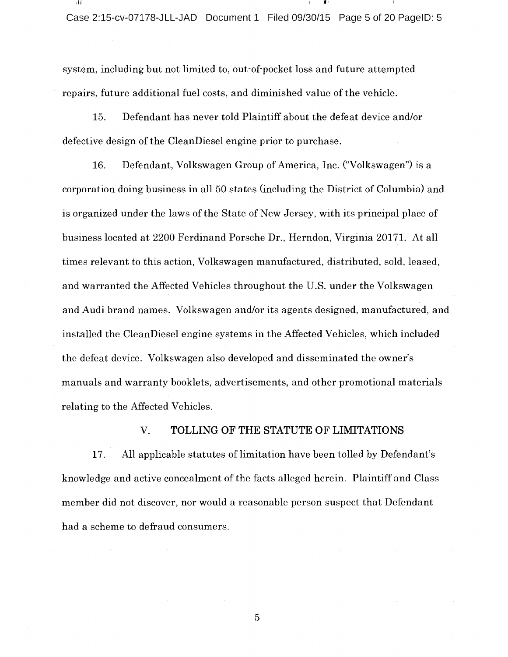Case 2:15-cv-07178-JLL-JAD Document 1 Filed 09/30/15 Page 5 of 20 PagelD: 5

system, including but not limited to, out-of-pocket loss and future attempted repairs, future additional fuel costs, and diminished value of the vehicle.

15. Defendant has never told Plaintiff about the defeat device and/or defective design of the CleanDiesel engine prior to purchase.

16. Defendant, Volkswagen Group of America, Inc. ("Volkswagen") is a corporation doing business in all <sup>50</sup> states (including the District of Columbia) and is organized under the laws of the State of New Jersey, with its principal place of business located at 2200 Ferdinand Porsche Dr., Herndon, Virginia 20171. At all times relevant to this action, Volkswagen manufactured, distributed, sold, leased, and warranted the Affected Vehicles throughout the U.S. under the Volkswagen and Audi brand names. Volkswagen and/or its agents designed, manufactured, and installed the CleanDiesel engine systems in the Affected Vehicles, which included the defeat device. Volkswagen also developed and disseminated the owner's manuals and warranty booklets, advertisements, and other promotional materials relating to the Affected Vehicles.

## V. TOLLING OF THE STATUTE OF LIMITATIONS

17. All applicable statutes of limitation have been tolled by Defendant's knowledge and active concealment of the facts alleged herein. Plaintiff and Class member did not discover, nor would <sup>a</sup> reasonable person suspect that Defendant had a scheme to defraud consumers.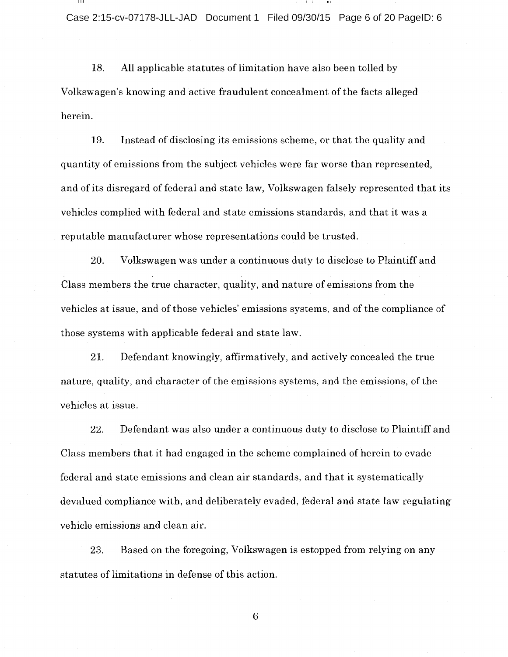18. All applicable statutes of limitation have also been tolled by Volkswagen's knowing and active fraudulent concealment of the facts alleged herein.

19. Instead of disclosing its emissions scheme, or that the quality and quantity of emissions from the subject vehicles were far worse than represented, and of its disregard of federal and state law, Volkswagen falsely represented that its vehicles complied with federal and state emissions standards, and that it was <sup>a</sup> reputable manufacturer whose representations could be trusted.

20. Volkswagen was under <sup>a</sup> continuous duty to disclose to Plaintiff and Class members the true character, quality, and nature of emissions from the vehicles at issue, and of those vehicles' emissions systems, and of the compliance of those systems with applicable federal and state law.

21. Defendant knowingly, affirmatively, and actively concealed the true nature, quality, and character of the emissions systems, and the emissions, of the vehicles at issue.

22. Defendant was also under <sup>a</sup> continuous duty to disclose to Plaintiff and Class members that it had engaged in the scheme complained of herein to evade federal and state emissions and clean air standards, and that it systematically devalued compliance with, and deliberately evaded, federal and state law regulating vehicle emissions and clean air.

23. Based on the foregoing, Volkswagen is estopped from relying on any statutes of limitations in defense of this action.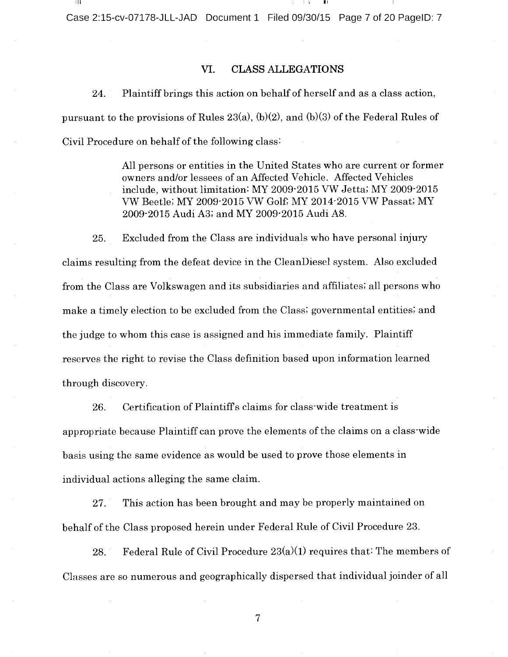Case 2:15-cv-07178-JLL-JAD Document 1 Filed 09/30/15 Page 7 of 20 PagelD: 7

### VI. CLASS ALLEGATIONS

24. Plaintiff brings this action on behalf of herself and as <sup>a</sup> class action, pursuant to the provisions of Rules 23(a), (b)(2), and (b)(3) of the Federal Rules of Civil Procedure on behalf of the following class:

> All persons or entities in the United States who are current or former owners and/or lessees of an Affected Vehicle. Affected Vehicles include, without limitation: MY 2009-2015 VW Jetta; MY 2009-2015 VW Beetle; MY 2009-2015 VW Golf, MY 2014-2015 VW Passat; MY 2009-2015 Audi A3; and MY 2009-2015 Audi A8.

25. Excluded from the Class are individuals who have personal injury claims resulting from the defeat device in the CleanDiesel system. Also excluded from the Class are Volkswagen and its subsidiaries and affiliates; all persons who make <sup>a</sup> timely election to be excluded from the Class; governmental entities; and the judge to whom this case is assigned and his immediate family. Plaintiff reserves the right to revise the Class definition based upon information learned through discovery.

26. Certification of Plaintiff's claims for class-wide treatment is appropriate because Plaintiff can prove the elements of the claims on <sup>a</sup> class-wide basis using the same evidence as would be used to prove those elements in individual actions alleging the same claim.

27. This action has been brought and may be properly maintained on behalf of the Class proposed herein under Federal Rule of Civil Procedure 23.

28. Federal Rule of Civil Procedure  $23(a)(1)$  requires that: The members of Classes are so numerous and geographically dispersed that individual joinder of all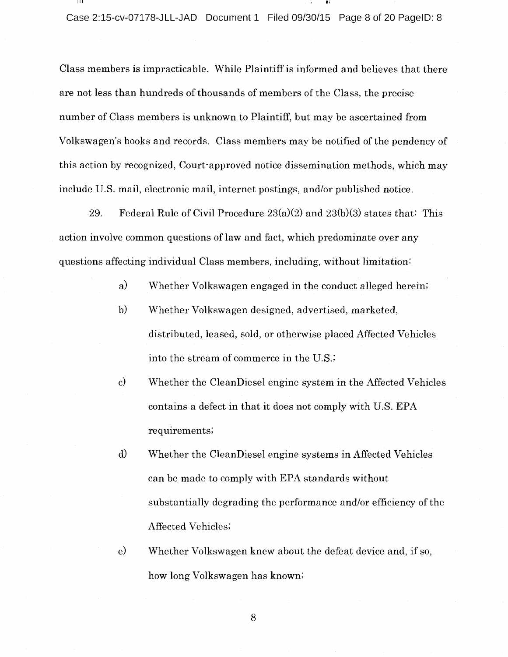Class members is impracticable. While Plaintiff is informed and believes that there are not less than hundreds of thousands of members of the Class, the precise number of Class members is unknown to Plaintiff, but may be ascertained from Volkswagen's books and records. Class members may be notified of the pendency of this action by recognized, Court-approved notice dissemination methods, which may include U.S. mail, electronic mail, internet postings, and/or published notice.

29. Federal Rule of Civil Procedure  $23(a)(2)$  and  $23(b)(3)$  states that: This action involve common questions of law and fact, which predominate over any questions affecting individual Class members, including, without limitation:

- a) Whether Volkswagen engaged in the conduct alleged herein;
- b) Whether Volkswagen designed, advertised, marketed, distributed, leased, sold, or otherwise placed Affected Vehicles into the stream of commerce in the U.S.;
- $\mathbf{c}$ Whether the CleanDiesel engine system in the Affected Vehicles contains <sup>a</sup> defect in that it does not comply with U.S. EPA requirements;
- $\rm d)$ Whether the CleanDiesel engine systems in Affected Vehicles can be made to comply with EPA standards without substantially degrading the performance and/or efficiency of the Affected Vehicles;
- $\epsilon$ Whether Volkswagen knew about the defeat device and, if so, how long Volkswagen has known;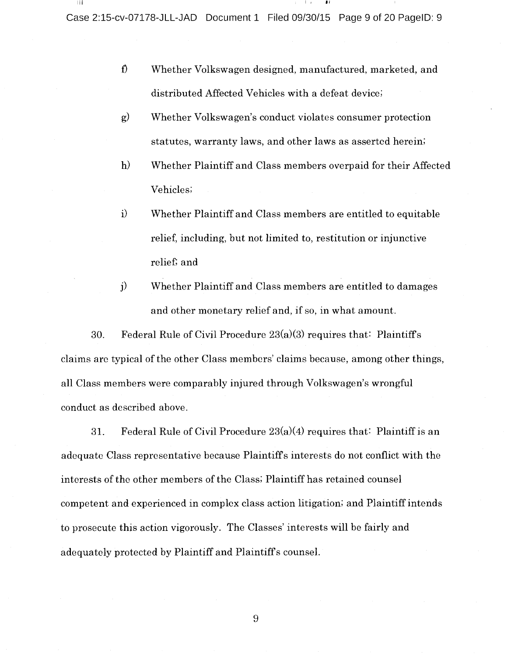Case 2:15-cv-07178-JLL-JAD Document 1 Filed 09/30/15 Page 9 of 20 PagelD: 9

0 Whether Volkswagen designed, manufactured, marketed, and distributed Affected Vehicles with a defeat device;

I II

- $\mathbf{g}$ Whether Volkswagen's conduct violates consumer protection statutes, warranty laws, and other laws as asserted herein;
- $h)$ Whether Plaintiff and Class members overpaid for their Affected Vehicles;
- $\mathbf{i}$ Whether Plaintiff and Class members are entitled to equitable relief, including, but not limited to, restitution or injunctive relief; and
- j) Whether Plaintiff and Class members are entitled to damages and other monetary relief and, if so, in what amount.

30. Federal Rule of Civil Procedure  $23(a)(3)$  requires that: Plaintiff's claims are typical of the other Class members' claims because, among other things, all Class members were comparably injured through Volkswagen's wrongful conduct as described above.

31. Federal Rule of Civil Procedure  $23(a)(4)$  requires that: Plaintiff is an adequate Class representative because Plaintiffs interests do not conflict with the interests of the other members of the Class; Plaintiff has retained counsel competent and experienced in complex class action litigation; and Plaintiff intends to prosecute this action vigorously. The Classes' interests will be fairly and adequately protected by Plaintiff and Plaintiffs counsel.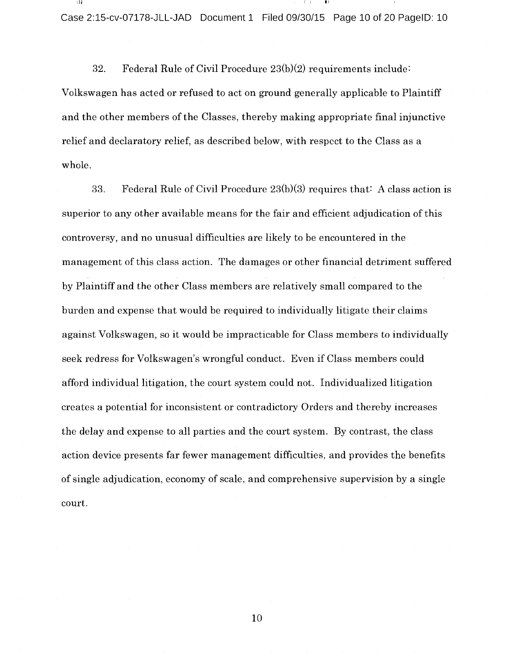Case 2:15-cv-07178-JLL-JAD Document 1 Filed 09/30/15 Page 10 of 20 PagelD: 10

 $\blacksquare$ i

32. Federal Rule of Civil Procedure 23(b)(2) requirements include: Volkswagen has acted or refused to act on ground generally applicable to Plaintiff and the other members of the Classes, thereby making appropriate final injunctive relief and declaratory relief, as described below, with respect to the Class as <sup>a</sup> whole.

33. Federal Rule of Civil Procedure 23(b)(3) requires that: A class action is superior to any other available means for the fair and efficient adjudication of this controversy, and no unusual difficulties are likely to be encountered in the management of this class action. The damages or other financial detriment suffered by Plaintiff and the other Class members are relatively small compared to the burden and expense that would be required to individually litigate their claims against Volkswagen, so it would be impracticable for Class members to individually seek redress for Volkswagen's wrongful conduct. Even if Class members could afford individual litigation, the court system could not. Individualized litigation creates <sup>a</sup> potential for inconsistent or contradictory Orders and thereby increases the delay and expense to all parties and the court system. By contrast, the class action device presents far fewer management difficulties, and provides the benefits of single adjudication, economy of scale, and comprehensive supervision by <sup>a</sup> single court.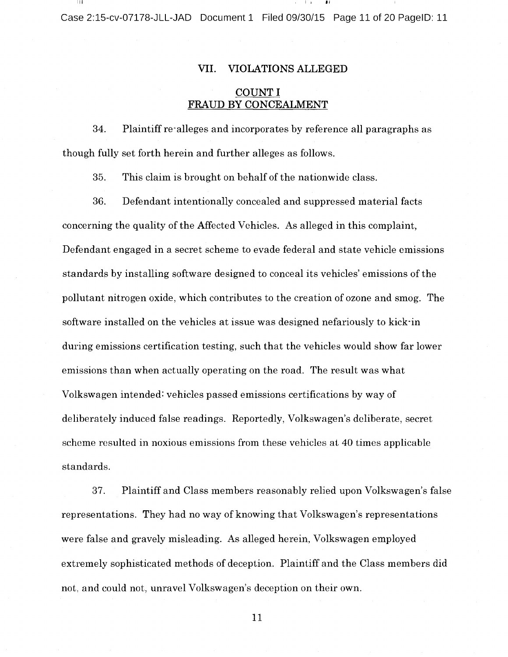Case 2:15-cv-07178-JLL-JAD Document 1 Filed 09/30/15 Page 11 of 20 PagelD: 11

#### WI. VIOLATIONS ALLEGED

## COUNT I FRAUD BY CONCEALMENT

34. Plaintiff re-alleges and incorporates by reference all paragraphs as though fully set forth herein and further alleges as follows.

35. This claim is brought on behalf of the nationwide class.

36. Defendant intentionally concealed and suppressed material facts concerning the quality of the Affected Vehicles. As alleged in this complaint, Defendant engaged in <sup>a</sup> secret scheme to evade federal and state vehicle emissions standards by installing software designed to conceal its vehicles' emissions of the pollutant nitrogen oxide, which contributes to the creation of ozone and smog. The software installed on the vehicles at issue was designed nefariously to kick-in during emissions certification testing, such that the vehicles would show far lower emissions than when actually operating on the road. The result was what Volkswagen intended: vehicles passed emissions certifications by way of deliberately induced false readings. Reportedly, Volkswagen's deliberate, secret scheme resulted in noxious emissions from these vehicles at <sup>40</sup> times applicable standards.

37. Plaintiff and Class members reasonably relied upon Volkswagen's false representations. They had no way of knowing that Volkswagen's representations were false and gravely misleading. As alleged herein, Volkswagen employed extremely sophisticated methods of deception. Plaintiff and the Class members did not, and could not, unravel Volkswagen's deception on their own.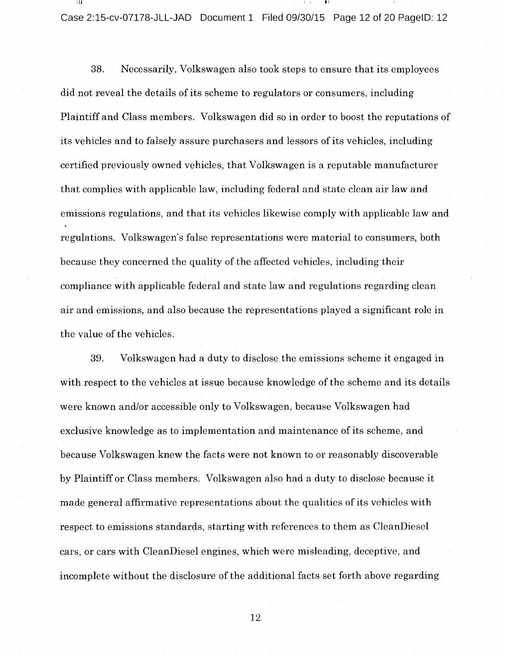Case 2:15-cv-07178-JLL-JAD Document 1 Filed 09/30/15 Page 12 of 20 PagelD: 12

38. Necessarily, Volkswagen also took steps to ensure that its employees did not reveal the details of its scheme to regulators or consumers, including Plaintiff and Class members. Volkswagen did so in order to boost the reputations of its vehicles and to falsely assure purchasers and lessors of its vehicles, including certified previously owned vehicles, that Volkswagen is <sup>a</sup> reputable manufacturer that complies with applicable law, including federal and state clean air law and emissions regulations, and that its vehicles likewise comply with applicable law and regulations. Volkswagen's false representations were material to consumers, both because they concerned the quality of the affected vehicles, including their compliance with applicable federal and state law and regulations regarding clean air and emissions, and also because the representations played <sup>a</sup> significant role in the value of the vehicles.

39. Volkswagen had <sup>a</sup> duty to disclose the emissions scheme it engaged in with respect to the vehicles at issue because knowledge of the scheme and its details were known and/or accessible only to Volkswagen, because Volkswagen had exclusive knowledge as to implementation and maintenance of its scheme, and because Volkswagen knew the facts were not known to or reasonably discoverable by Plaintiff or Class members. Volkswagen also had <sup>a</sup> duty to disclose because it made general affirmative representations about the qualities of its vehicles with respect to emissions standards, starting with references to them as CleanDiesel cars, or cars with CleanDiesel engines, which were misleading, deceptive, and incomplete without the disclosure of the additional facts set forth above regarding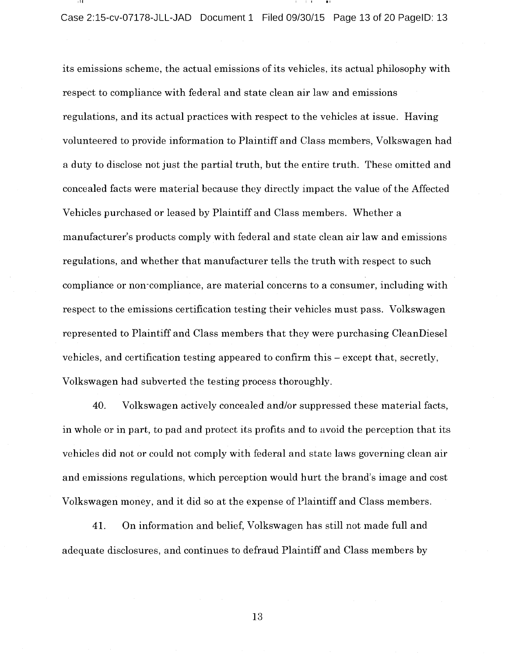Case 2:15-cv-07178-JLL-JAD Document 1 Filed 09/30/15 Page 13 of 20 PagelD: 13

its emissions scheme, the actual emissions of its vehicles, its actual philosophy with respect to compliance with federal and state clean air law and emissions regulations, and its actual practices with respect to the vehicles at issue. Having volunteered to provide information to Plaintiff and Class members, Volkswagen had <sup>a</sup> duty to disclose not just the partial truth, but the entire truth. These omitted and concealed facts were material because they directly impact the value of the Affected Vehicles purchased or leased by Plaintiff and Class members. Whether <sup>a</sup> manufacturer's products comply with federal and state clean air law and emissions regulations, and whether that manufacturer tells the truth with respect to such compliance or non-compliance, are material concerns to <sup>a</sup> consumer, including with respect to the emissions certification testing their vehicles must pass. Volkswagen represented to Plaintiff and Class members that they were purchasing CleanDiesel vehicles, and certification testing appeared to confirm this  $-$  except that, secretly, Volkswagen had subverted the testing process thoroughly.

40. Volkswagen actively concealed and/or suppressed these material facts, in whole or in part, to pad and protect its profits and to avoid the perception that its vehicles did not or could not comply with federal and state laws governing clean air and emissions regulations, which perception would hurt the brand's image and cost Volkswagen money, and it did so at the expense of Plaintiff and Class members.

41. On information and belief, Volkswagen has still not made full and adequate disclosures, and continues to defraud Plaintiff and Class members by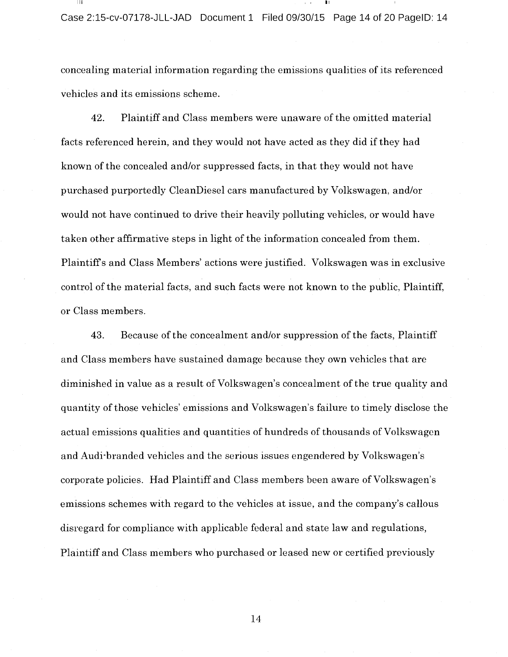concealing material information regarding the emissions qualities of its referenced vehicles and its emissions scheme.

42. Plaintiff and Class members were unaware of the omitted material facts referenced herein, and they would not have acted as they did if they had known of the concealed and/or suppressed facts, in that they would not have purchased purportedly CleanDiesel cars manufactured by Volkswagen, and/or would not have continued to drive their heavily polluting vehicles, or would have taken other affirmative steps in light of the information concealed from them. Plaintiff <sup>s</sup> and Class Members' actions were justified. Volkswagen was in exclusive control of the material facts, and such facts were not known to the public, Plaintiff, or Class members.

43. Because of the concealment and/or suppression of the facts, Plaintiff and Class members have sustained damage because they own vehicles that are diminished in value as a result of Volkswagen's concealment of the true quality and quantity of those vehicles' emissions and Volkswagen's failure to timely disclose the actual emissions qualities and quantities of hundreds of thousands of Volkswagen and Audi-branded vehicles and the serious issues engendered by Volkswagen's corporate policies. Had Plaintiff and Class members been aware of Volkswagen's emissions schemes with regard to the vehicles at issue, and the company's callous disregard for compliance with applicable federal and state law and regulations, Plaintiff and Class members who purchased or leased new or certified previously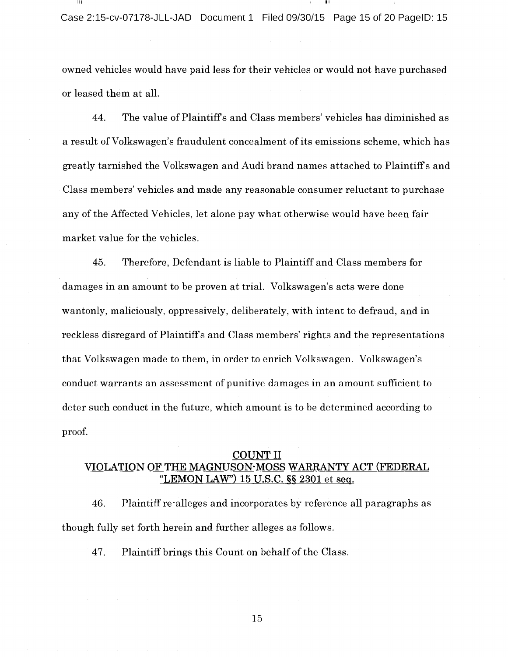owned vehicles would have paid less for their vehicles or would not have purchased or leased them at all.

44. The value of Plaintiff <sup>s</sup> and Class members' vehicles has diminished as <sup>a</sup> result of Volkswagen's fraudulent concealment of its emissions scheme, which has greatly tarnished the Volkswagen and Audi brand names attached to Plaintiff <sup>s</sup> and Class members' vehicles and made any reasonable consumer reluctant to purchase any of the Affected Vehicles, let alone pay what otherwise would have been fair market value for the vehicles.

45. Therefore, Defendant is liable to Plaintiff and Class members for damages in an amount to be proven at trial. Volkswagen's acts were done wantonly, maliciously, oppressively, deliberately, with intent to defraud, and in reckless disregard of Plaintiff's and Class members' rights and the representations that Volkswagen made to them, in order to enrich Volkswagen. Volkswagen's conduct warrants an assessment of punitive damages in an amount sufficient to deter such conduct in the future, which amount is to be determined according to proof.

## COUNT II VIOLATION OF THE MAGNUSON-MOSS WARRANTY ACT (FEDERAL "LEMON LAW")  $15$  U.S.C.  $\S$  $\S$   $2301$  et seq.

46. Plaintiff re-alleges and incorporates by reference all paragraphs as though fully set forth herein and further alleges as follows.

47. Plaintiff brings this Count on behalf of the Class.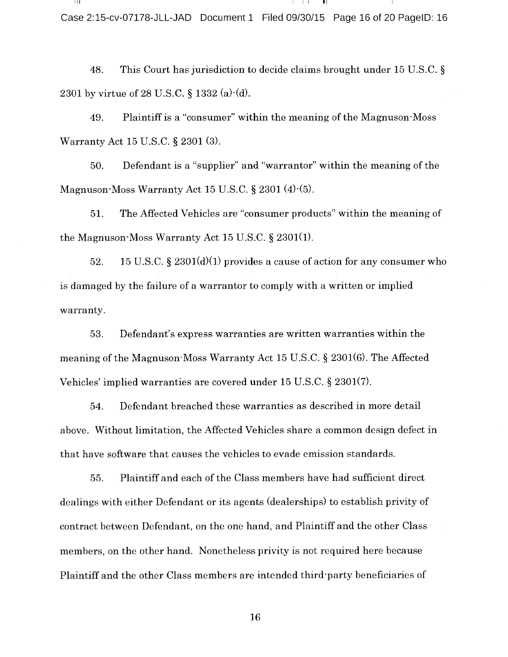<sup>I</sup> <sup>I</sup> I Case 2:15-cv-07178-JLL-JAD Document 1 Filed 09/30/15 Page 16 of 20 PagelD: 16

48. This Court has jurisdiction to decide claims brought under <sup>15</sup> U.S.C. 2301 by virtue of 28 U.S.C.  $\S$  1332 (a) $\cdot$ (d).

49. Plaintiff is <sup>a</sup> "consumer" within the meaning of the Magnuson-Moss Warranty Act 15 U.S.C. § 2301 (3).

50. Defendant is <sup>a</sup> "supplier" and "warrantor" within the meaning of the Magnuson-Moss Warranty Act 15 U.S.C.  $\S 2301 (4)-(5)$ .

51. The Affected Vehicles are "consumer products" within the meaning of the Magnuson-Moss Warranty Act 15 U.S.C.  $\S$  2301(1).

52. 15 U.S.C.  $\S 2301(d)(1)$  provides a cause of action for any consumer who is damaged by the failure of <sup>a</sup> warrantor to comply with <sup>a</sup> written or implied warranty.

53. Defendant's express warranties are written warranties within the meaning of the Magnuson-Moss Warranty Act 15 U.S.C.  $\S$  2301(6). The Affected Vehicles' implied warranties are covered under 15 U.S.C. § 2301(7).

54. Defendant breached these warranties as described in more detail above. Without limitation, the Affected Vehicles share <sup>a</sup> common design defect in that have software that causes the vehicles to evade emission standards.

55. Plaintiff and each of the Class members have had sufficient direct dealings with either Defendant or its agents (dealerships) to establish privity of contract between Defendant, on the one hand, and Plaintiff and the other Class members, on the other hand. Nonetheless privity is not required here because Plaintiff and the other Class members are intended third-party beneficiaries of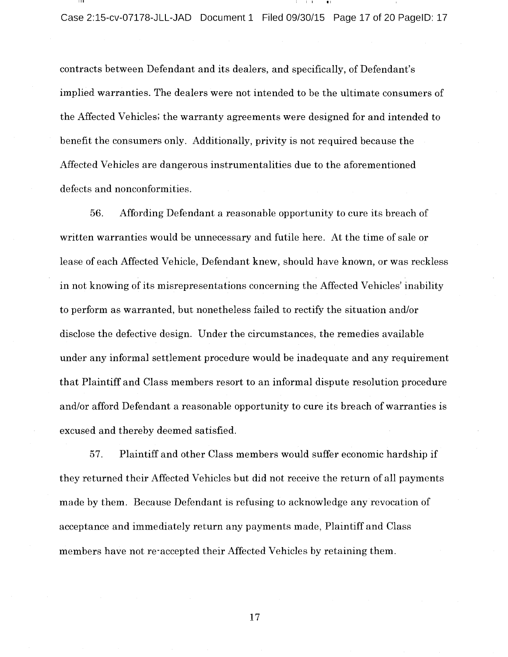III  $\cdots$ 

contracts between Defendant and its dealers, and specifically, of Defendant's implied warranties. The dealers were not intended to be the ultimate consumers of the Affected Vehicles; the warranty agreements were designed for and intended to benefit the consumers only. Additionally, privity is not required because the Affected Vehicles are dangerous instrumentalities due to the aforementioned defects and nonconformities.

56. Affording Defendant <sup>a</sup> reasonable opportunity to cure its breach of written warranties would be unnecessary and futile here. At the time of sale or lease of each Affected Vehicle, Defendant knew, should have known, or was reckless in not knowing of its misrepresentations concerning the Affected Vehicles' inability to perform as warranted, but nonetheless failed to rectify the situation and/or disclose the defective design. Under the circumstances, the remedies available under any informal settlement procedure would be inadequate and any requirement that Plaintiff and Class members resort to an informal dispute resolution procedure and/or afford Defendant <sup>a</sup> reasonable opportunity to cure its breach of warranties is excused and thereby deemed satisfied.

57. Plaintiff and other Class members would suffer economic hardship if they returned their Affected Vehicles but did not receive the return of all payments made by them. Because Defendant is refusing to acknowledge any revocation of acceptance and immediately return any payments made, Plaintiff and Class members have not re-accepted their Affected Vehicles by retaining them.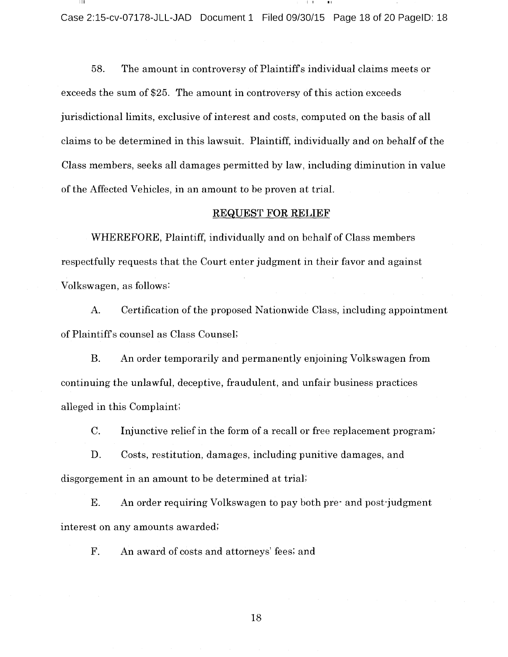Case 2:15-cv-07178-JLL-JAD Document 1 Filed 09/30/15 Page 18 of 20 PagelD: 18

58. The amount in controversy of Plaintiff <sup>s</sup> individual claims meets or exceeds the sum of \$25. The amount in controversy of this action exceeds jurisdictional limits, exclusive of interest and costs, computed on the basis of all claims to be determined in this lawsuit. Plaintiff, individually and on behalf of the Class members, seeks all damages permitted by law, including diminution in value of the Affected Vehicles, in an amount to be proven at trial.

#### REQUEST FOR RELIEF

WHEREFORE, Plaintiff, individually and on behalf of Class members respectfully requests that the Court enter judgment in their favor and against Volkswagen, as follows

A. Certification of the proposed Nationwide Class, including appointment of Plaintiffs counsel as Class Counsel;

B. An order temporarily and permanently enjoining Volkswagen from continuing the unlawful, deceptive, fraudulent, and unfair business practices alleged in this Complaint;

C. Injunctive relief in the form of <sup>a</sup> recall or free replacement program;

D. Costs, restitution, damages, including punitive damages, and disgorgement in an amount to be determined at trial;

E. An order requiring Volkswagen to pay both pre- and post-judgment interest on any amounts awarded;

F. An award of costs and attorneys' fees; and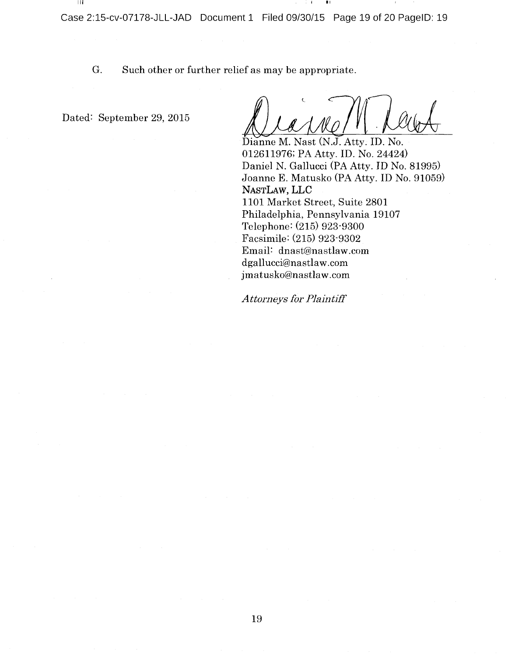G. Such other or further relief as may be appropriate.

Dated: September 29, 2015

-111

Dianne M. Nast (N.J. Atty. ID. No. 012611976; PA Atty. ID. No. 24424) Daniel N. Gallucci (PA Atty. ID No. 81995) Joanne E. Matusko (PA Atty. ID No. 91059) NASTLAW, LLC 1101 Market Street, Suite 2801 Philadelphia, Pennsylvania 19107 Telephone: (215) 923-9300 Facsimile: (215) 923-9302 Email: dnast@nastlaw.com dgallucci@nastlaw.com jmatusko@nastlaw.com

Attorneys for Plaintiff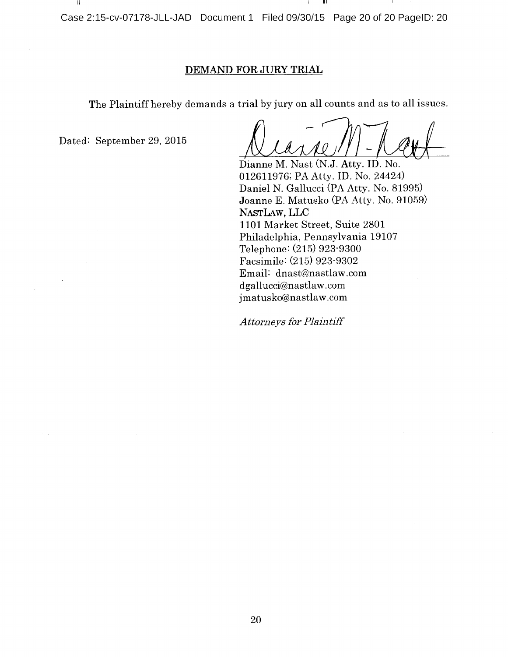Case 2:15-cv-07178-JLL-JAD Document 1 Filed 09/30/15 Page 20 of 20 PagelD: 20

## DEMAND FOR JURY TRIAL

The Plaintiff hereby demands <sup>a</sup> trial by jury on all counts and as to all issues.

Dated: September 29, 2015

- III

 $\overline{\mathscr{N}}$ 2

II

 $\perp$  i

Dianne M. Nast (N.J. Atty. ID. No. 012611976; PA Atty. ID. No. 24424) Daniel N. Gallucci (PA Atty. No. 81995) Joanne E. Matusko (PA Atty. No. 91059) NASTLAW, LLC 1101 Market Street, Suite 2801 Philadelphia, Pennsylvania 19107 Telephone: (215) 923-9300 Facsimile: (215) 923-9302 Email: dnast@nastlaw.com dgallucci@nastlaw.com jmatusko@nastlaw.com

Attorneys for Plaintiff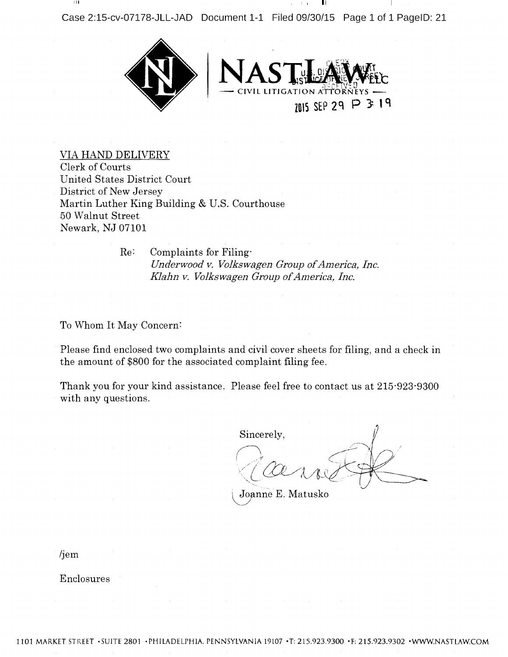III <sup>I</sup> <sup>i</sup> II



VIA HAND DELIVERY Clerk of Courts United States District Court District of New Jersey Martin Luther King Building & U.S. Courthouse 50 Walnut Street Newark, NJ 07101

> Re: Complaints for Filing-Underwood v. Volkswagen Group of America, Inc. Klahn v. Volkswagen Group of America, Inc.

To Whom It May Concern:

Please find enclosed two complaints and civil cover sheets for filing, and <sup>a</sup> check in the amount of \$800 for the associated complaint filing fee.

Thank you for your kind assistance. Please feel free to contact us at 215-923-9300 with any questions.

 $\rm Sineerely,$ r-  $\mathcal{U}$ 

Joanne E. Matusko

/jem

Enclosures